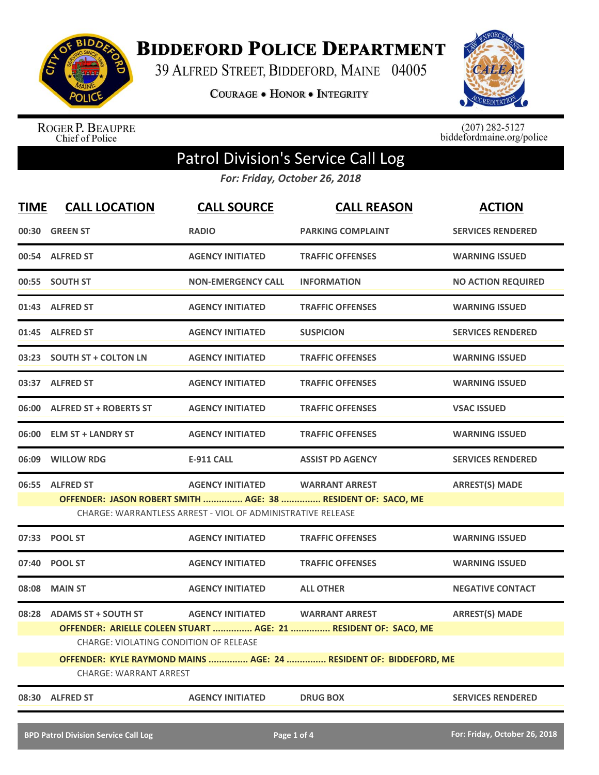

**BIDDEFORD POLICE DEPARTMENT** 

39 ALFRED STREET, BIDDEFORD, MAINE 04005

COURAGE . HONOR . INTEGRITY



ROGER P. BEAUPRE<br>Chief of Police

 $(207)$  282-5127<br>biddefordmaine.org/police

## Patrol Division's Service Call Log

*For: Friday, October 26, 2018*

| <b>TIME</b> | <b>CALL LOCATION</b>                                              | <b>CALL SOURCE</b>                                          | <b>CALL REASON</b>                                              | <b>ACTION</b>             |  |
|-------------|-------------------------------------------------------------------|-------------------------------------------------------------|-----------------------------------------------------------------|---------------------------|--|
|             | 00:30 GREEN ST                                                    | <b>RADIO</b>                                                | <b>PARKING COMPLAINT</b>                                        | <b>SERVICES RENDERED</b>  |  |
|             | 00:54 ALFRED ST                                                   | <b>AGENCY INITIATED</b>                                     | <b>TRAFFIC OFFENSES</b>                                         | <b>WARNING ISSUED</b>     |  |
|             | 00:55 SOUTH ST                                                    | <b>NON-EMERGENCY CALL</b>                                   | <b>INFORMATION</b>                                              | <b>NO ACTION REQUIRED</b> |  |
|             | 01:43 ALFRED ST                                                   | <b>AGENCY INITIATED</b>                                     | <b>TRAFFIC OFFENSES</b>                                         | <b>WARNING ISSUED</b>     |  |
|             | 01:45 ALFRED ST                                                   | <b>AGENCY INITIATED</b>                                     | <b>SUSPICION</b>                                                | <b>SERVICES RENDERED</b>  |  |
|             | 03:23 SOUTH ST + COLTON LN                                        | <b>AGENCY INITIATED</b>                                     | <b>TRAFFIC OFFENSES</b>                                         | <b>WARNING ISSUED</b>     |  |
|             | 03:37 ALFRED ST                                                   | <b>AGENCY INITIATED</b>                                     | <b>TRAFFIC OFFENSES</b>                                         | <b>WARNING ISSUED</b>     |  |
|             | 06:00 ALFRED ST + ROBERTS ST                                      | <b>AGENCY INITIATED</b>                                     | <b>TRAFFIC OFFENSES</b>                                         | <b>VSAC ISSUED</b>        |  |
|             | 06:00 ELM ST + LANDRY ST                                          | <b>AGENCY INITIATED</b>                                     | <b>TRAFFIC OFFENSES</b>                                         | <b>WARNING ISSUED</b>     |  |
|             | 06:09 WILLOW RDG                                                  | <b>E-911 CALL</b>                                           | <b>ASSIST PD AGENCY</b>                                         | <b>SERVICES RENDERED</b>  |  |
|             | 06:55 ALFRED ST                                                   | <b>AGENCY INITIATED</b>                                     | <b>WARRANT ARREST</b>                                           | <b>ARREST(S) MADE</b>     |  |
|             |                                                                   |                                                             | OFFENDER: JASON ROBERT SMITH  AGE: 38  RESIDENT OF: SACO, ME    |                           |  |
|             |                                                                   | CHARGE: WARRANTLESS ARREST - VIOL OF ADMINISTRATIVE RELEASE |                                                                 |                           |  |
|             | 07:33 POOL ST                                                     | <b>AGENCY INITIATED</b>                                     | <b>TRAFFIC OFFENSES</b>                                         | <b>WARNING ISSUED</b>     |  |
|             | 07:40 POOL ST                                                     | <b>AGENCY INITIATED</b>                                     | <b>TRAFFIC OFFENSES</b>                                         | <b>WARNING ISSUED</b>     |  |
|             | 08:08 MAIN ST                                                     | <b>AGENCY INITIATED</b>                                     | <b>ALL OTHER</b>                                                | <b>NEGATIVE CONTACT</b>   |  |
|             | 08:28 ADAMS ST + SOUTH ST                                         | <b>AGENCY INITIATED</b>                                     | <b>WARRANT ARREST</b>                                           | <b>ARREST(S) MADE</b>     |  |
|             |                                                                   |                                                             | OFFENDER: ARIELLE COLEEN STUART  AGE: 21  RESIDENT OF: SACO, ME |                           |  |
|             | <b>CHARGE: VIOLATING CONDITION OF RELEASE</b>                     |                                                             |                                                                 |                           |  |
|             | OFFENDER: KYLE RAYMOND MAINS  AGE: 24  RESIDENT OF: BIDDEFORD, ME |                                                             |                                                                 |                           |  |
|             | CHARGE: WARRANT ARREST                                            |                                                             |                                                                 |                           |  |
| 08:30       | <b>ALFRED ST</b>                                                  | <b>AGENCY INITIATED</b>                                     | <b>DRUG BOX</b>                                                 | <b>SERVICES RENDERED</b>  |  |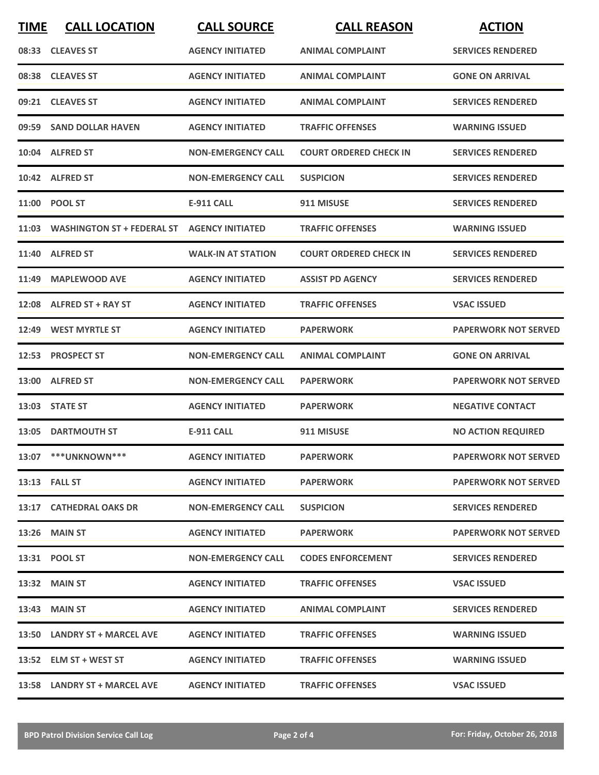| <b>TIME</b> | <b>CALL LOCATION</b>              | <b>CALL SOURCE</b>        | <b>CALL REASON</b>            | <b>ACTION</b>               |
|-------------|-----------------------------------|---------------------------|-------------------------------|-----------------------------|
|             | 08:33 CLEAVES ST                  | <b>AGENCY INITIATED</b>   | <b>ANIMAL COMPLAINT</b>       | <b>SERVICES RENDERED</b>    |
| 08:38       | <b>CLEAVES ST</b>                 | <b>AGENCY INITIATED</b>   | <b>ANIMAL COMPLAINT</b>       | <b>GONE ON ARRIVAL</b>      |
|             | 09:21 CLEAVES ST                  | <b>AGENCY INITIATED</b>   | <b>ANIMAL COMPLAINT</b>       | <b>SERVICES RENDERED</b>    |
|             | 09:59 SAND DOLLAR HAVEN           | <b>AGENCY INITIATED</b>   | <b>TRAFFIC OFFENSES</b>       | <b>WARNING ISSUED</b>       |
|             | 10:04 ALFRED ST                   | <b>NON-EMERGENCY CALL</b> | <b>COURT ORDERED CHECK IN</b> | <b>SERVICES RENDERED</b>    |
|             | 10:42 ALFRED ST                   | <b>NON-EMERGENCY CALL</b> | <b>SUSPICION</b>              | <b>SERVICES RENDERED</b>    |
|             | 11:00 POOL ST                     | <b>E-911 CALL</b>         | 911 MISUSE                    | <b>SERVICES RENDERED</b>    |
| 11:03       | <b>WASHINGTON ST + FEDERAL ST</b> | <b>AGENCY INITIATED</b>   | <b>TRAFFIC OFFENSES</b>       | <b>WARNING ISSUED</b>       |
| 11:40       | <b>ALFRED ST</b>                  | <b>WALK-IN AT STATION</b> | <b>COURT ORDERED CHECK IN</b> | <b>SERVICES RENDERED</b>    |
|             | 11:49 MAPLEWOOD AVE               | <b>AGENCY INITIATED</b>   | <b>ASSIST PD AGENCY</b>       | <b>SERVICES RENDERED</b>    |
|             | 12:08 ALFRED ST + RAY ST          | <b>AGENCY INITIATED</b>   | <b>TRAFFIC OFFENSES</b>       | <b>VSAC ISSUED</b>          |
| 12:49       | <b>WEST MYRTLE ST</b>             | <b>AGENCY INITIATED</b>   | <b>PAPERWORK</b>              | <b>PAPERWORK NOT SERVED</b> |
|             | 12:53 PROSPECT ST                 | <b>NON-EMERGENCY CALL</b> | <b>ANIMAL COMPLAINT</b>       | <b>GONE ON ARRIVAL</b>      |
| 13:00       | <b>ALFRED ST</b>                  | <b>NON-EMERGENCY CALL</b> | <b>PAPERWORK</b>              | <b>PAPERWORK NOT SERVED</b> |
|             | 13:03 STATE ST                    | <b>AGENCY INITIATED</b>   | <b>PAPERWORK</b>              | <b>NEGATIVE CONTACT</b>     |
|             | 13:05 DARTMOUTH ST                | E-911 CALL                | 911 MISUSE                    | <b>NO ACTION REQUIRED</b>   |
|             | 13:07 *** UNKNOWN***              | <b>AGENCY INITIATED</b>   | <b>PAPERWORK</b>              | <b>PAPERWORK NOT SERVED</b> |
|             | 13:13 FALL ST                     | <b>AGENCY INITIATED</b>   | <b>PAPERWORK</b>              | <b>PAPERWORK NOT SERVED</b> |
|             | 13:17 CATHEDRAL OAKS DR           | <b>NON-EMERGENCY CALL</b> | <b>SUSPICION</b>              | <b>SERVICES RENDERED</b>    |
|             | <b>13:26 MAIN ST</b>              | <b>AGENCY INITIATED</b>   | <b>PAPERWORK</b>              | <b>PAPERWORK NOT SERVED</b> |
|             | 13:31 POOL ST                     | <b>NON-EMERGENCY CALL</b> | <b>CODES ENFORCEMENT</b>      | <b>SERVICES RENDERED</b>    |
|             | 13:32 MAIN ST                     | <b>AGENCY INITIATED</b>   | <b>TRAFFIC OFFENSES</b>       | <b>VSAC ISSUED</b>          |
|             | 13:43 MAIN ST                     | <b>AGENCY INITIATED</b>   | <b>ANIMAL COMPLAINT</b>       | <b>SERVICES RENDERED</b>    |
|             | 13:50 LANDRY ST + MARCEL AVE      | <b>AGENCY INITIATED</b>   | <b>TRAFFIC OFFENSES</b>       | <b>WARNING ISSUED</b>       |
|             | 13:52 ELM ST + WEST ST            | <b>AGENCY INITIATED</b>   | <b>TRAFFIC OFFENSES</b>       | <b>WARNING ISSUED</b>       |
|             | 13:58 LANDRY ST + MARCEL AVE      | <b>AGENCY INITIATED</b>   | <b>TRAFFIC OFFENSES</b>       | <b>VSAC ISSUED</b>          |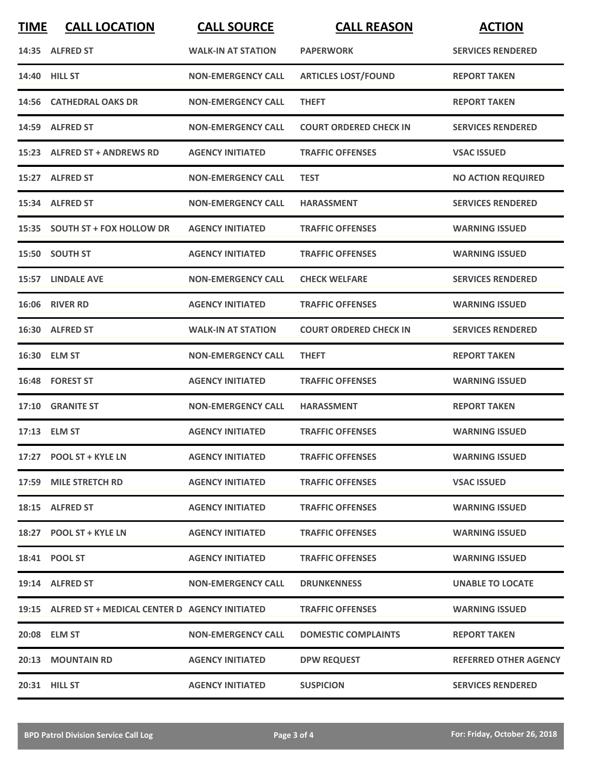| <b>TIME</b> | <b>CALL LOCATION</b>                                | <b>CALL SOURCE</b>        | <b>CALL REASON</b>            | <b>ACTION</b>                |
|-------------|-----------------------------------------------------|---------------------------|-------------------------------|------------------------------|
|             | 14:35 ALFRED ST                                     | <b>WALK-IN AT STATION</b> | <b>PAPERWORK</b>              | <b>SERVICES RENDERED</b>     |
|             | 14:40 HILL ST                                       | <b>NON-EMERGENCY CALL</b> | <b>ARTICLES LOST/FOUND</b>    | <b>REPORT TAKEN</b>          |
|             | 14:56 CATHEDRAL OAKS DR                             | <b>NON-EMERGENCY CALL</b> | <b>THEFT</b>                  | <b>REPORT TAKEN</b>          |
|             | 14:59 ALFRED ST                                     | <b>NON-EMERGENCY CALL</b> | <b>COURT ORDERED CHECK IN</b> | <b>SERVICES RENDERED</b>     |
|             | 15:23 ALFRED ST + ANDREWS RD                        | <b>AGENCY INITIATED</b>   | <b>TRAFFIC OFFENSES</b>       | <b>VSAC ISSUED</b>           |
|             | 15:27 ALFRED ST                                     | <b>NON-EMERGENCY CALL</b> | <b>TEST</b>                   | <b>NO ACTION REQUIRED</b>    |
|             | 15:34 ALFRED ST                                     | <b>NON-EMERGENCY CALL</b> | <b>HARASSMENT</b>             | <b>SERVICES RENDERED</b>     |
|             | 15:35 SOUTH ST + FOX HOLLOW DR                      | <b>AGENCY INITIATED</b>   | <b>TRAFFIC OFFENSES</b>       | <b>WARNING ISSUED</b>        |
|             | 15:50 SOUTH ST                                      | <b>AGENCY INITIATED</b>   | <b>TRAFFIC OFFENSES</b>       | <b>WARNING ISSUED</b>        |
|             | 15:57 LINDALE AVE                                   | <b>NON-EMERGENCY CALL</b> | <b>CHECK WELFARE</b>          | <b>SERVICES RENDERED</b>     |
|             | 16:06 RIVER RD                                      | <b>AGENCY INITIATED</b>   | <b>TRAFFIC OFFENSES</b>       | <b>WARNING ISSUED</b>        |
|             | 16:30 ALFRED ST                                     | <b>WALK-IN AT STATION</b> | <b>COURT ORDERED CHECK IN</b> | <b>SERVICES RENDERED</b>     |
|             | 16:30 ELM ST                                        | <b>NON-EMERGENCY CALL</b> | <b>THEFT</b>                  | <b>REPORT TAKEN</b>          |
| 16:48       | <b>FOREST ST</b>                                    | <b>AGENCY INITIATED</b>   | <b>TRAFFIC OFFENSES</b>       | <b>WARNING ISSUED</b>        |
| 17:10       | <b>GRANITE ST</b>                                   | <b>NON-EMERGENCY CALL</b> | <b>HARASSMENT</b>             | <b>REPORT TAKEN</b>          |
|             | 17:13 ELM ST                                        | <b>AGENCY INITIATED</b>   | <b>TRAFFIC OFFENSES</b>       | <b>WARNING ISSUED</b>        |
|             | 17:27 POOL ST + KYLE LN                             | <b>AGENCY INITIATED</b>   | <b>TRAFFIC OFFENSES</b>       | <b>WARNING ISSUED</b>        |
|             | 17:59 MILE STRETCH RD                               | <b>AGENCY INITIATED</b>   | <b>TRAFFIC OFFENSES</b>       | <b>VSAC ISSUED</b>           |
|             | 18:15 ALFRED ST                                     | <b>AGENCY INITIATED</b>   | <b>TRAFFIC OFFENSES</b>       | <b>WARNING ISSUED</b>        |
|             | 18:27 POOL ST + KYLE LN                             | <b>AGENCY INITIATED</b>   | <b>TRAFFIC OFFENSES</b>       | <b>WARNING ISSUED</b>        |
|             | 18:41 POOL ST                                       | <b>AGENCY INITIATED</b>   | <b>TRAFFIC OFFENSES</b>       | <b>WARNING ISSUED</b>        |
|             | 19:14 ALFRED ST                                     | <b>NON-EMERGENCY CALL</b> | <b>DRUNKENNESS</b>            | <b>UNABLE TO LOCATE</b>      |
|             | 19:15 ALFRED ST + MEDICAL CENTER D AGENCY INITIATED |                           | <b>TRAFFIC OFFENSES</b>       | <b>WARNING ISSUED</b>        |
|             | 20:08 ELM ST                                        | <b>NON-EMERGENCY CALL</b> | <b>DOMESTIC COMPLAINTS</b>    | <b>REPORT TAKEN</b>          |
|             | 20:13 MOUNTAIN RD                                   | <b>AGENCY INITIATED</b>   | <b>DPW REQUEST</b>            | <b>REFERRED OTHER AGENCY</b> |
|             | 20:31 HILL ST                                       | <b>AGENCY INITIATED</b>   | <b>SUSPICION</b>              | <b>SERVICES RENDERED</b>     |